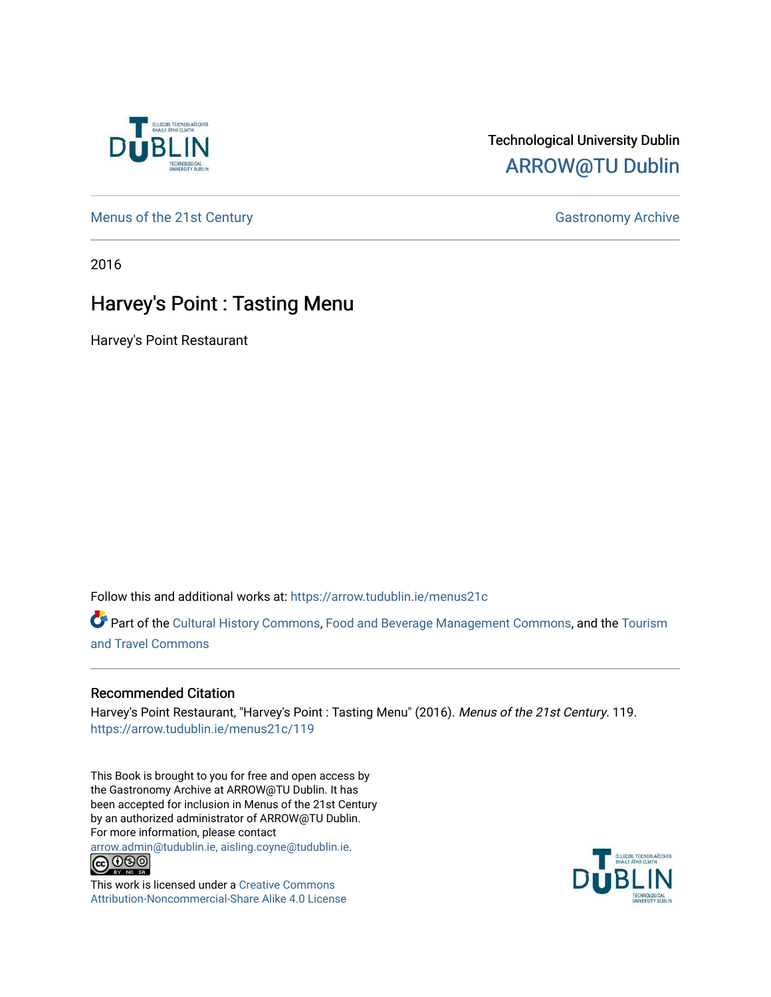

## Technological University Dublin [ARROW@TU Dublin](https://arrow.tudublin.ie/)

[Menus of the 21st Century](https://arrow.tudublin.ie/menus21c) Gastronomy Archive

2016

## Harvey's Point : Tasting Menu

Harvey's Point Restaurant

Follow this and additional works at: [https://arrow.tudublin.ie/menus21c](https://arrow.tudublin.ie/menus21c?utm_source=arrow.tudublin.ie%2Fmenus21c%2F119&utm_medium=PDF&utm_campaign=PDFCoverPages) 

Part of the [Cultural History Commons](http://network.bepress.com/hgg/discipline/496?utm_source=arrow.tudublin.ie%2Fmenus21c%2F119&utm_medium=PDF&utm_campaign=PDFCoverPages), [Food and Beverage Management Commons,](http://network.bepress.com/hgg/discipline/1089?utm_source=arrow.tudublin.ie%2Fmenus21c%2F119&utm_medium=PDF&utm_campaign=PDFCoverPages) and the [Tourism](http://network.bepress.com/hgg/discipline/1082?utm_source=arrow.tudublin.ie%2Fmenus21c%2F119&utm_medium=PDF&utm_campaign=PDFCoverPages) [and Travel Commons](http://network.bepress.com/hgg/discipline/1082?utm_source=arrow.tudublin.ie%2Fmenus21c%2F119&utm_medium=PDF&utm_campaign=PDFCoverPages)

## Recommended Citation

Harvey's Point Restaurant, "Harvey's Point : Tasting Menu" (2016). Menus of the 21st Century. 119. [https://arrow.tudublin.ie/menus21c/119](https://arrow.tudublin.ie/menus21c/119?utm_source=arrow.tudublin.ie%2Fmenus21c%2F119&utm_medium=PDF&utm_campaign=PDFCoverPages) 

This Book is brought to you for free and open access by the Gastronomy Archive at ARROW@TU Dublin. It has been accepted for inclusion in Menus of the 21st Century by an authorized administrator of ARROW@TU Dublin. For more information, please contact

[arrow.admin@tudublin.ie, aisling.coyne@tudublin.ie](mailto:arrow.admin@tudublin.ie,%20aisling.coyne@tudublin.ie).<br>
co 000



This work is licensed under a [Creative Commons](http://creativecommons.org/licenses/by-nc-sa/4.0/) [Attribution-Noncommercial-Share Alike 4.0 License](http://creativecommons.org/licenses/by-nc-sa/4.0/)